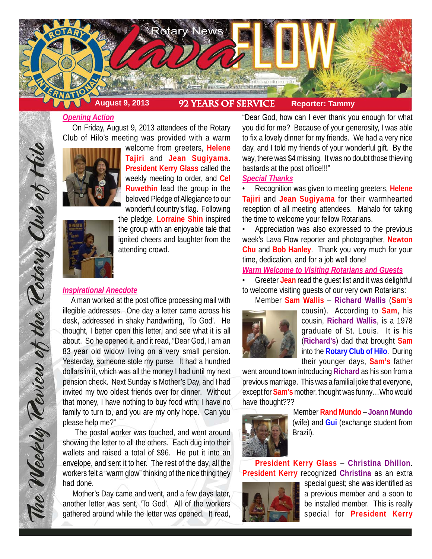

# *Opening Action*

 On Friday, August 9, 2013 attendees of the Rotary Club of Hilo's meeting was provided with a warm



welcome from greeters, **Helene Tajiri** and **Jean Sugiyama**. **President Kerry Glass** called the weekly meeting to order, and **Cel Ruwethin** lead the group in the beloved Pledge of Allegiance to our wonderful country's flag. Following



the pledge, **Lorraine Shin** inspired the group with an enjoyable tale that ignited cheers and laughter from the attending crowd.

### *Inspirational Anecdote*

 A man worked at the post office processing mail with illegible addresses. One day a letter came across his desk, addressed in shaky handwriting, 'To God'. He thought, I better open this letter, and see what it is all about. So he opened it, and it read, "Dear God, I am an 83 year old widow living on a very small pension. Yesterday, someone stole my purse. It had a hundred dollars in it, which was all the money I had until my next pension check. Next Sunday is Mother's Day, and I had invited my two oldest friends over for dinner. Without that money, I have nothing to buy food with; I have no family to turn to, and you are my only hope. Can you please help me?"

 The postal worker was touched, and went around showing the letter to all the others. Each dug into their wallets and raised a total of \$96. He put it into an envelope, and sent it to her. The rest of the day, all the workers felt a "warm glow" thinking of the nice thing they had done.

 Mother's Day came and went, and a few days later, another letter was sent, 'To God'. All of the workers gathered around while the letter was opened. It read,

"Dear God, how can I ever thank you enough for what you did for me? Because of your generosity, I was able to fix a lovely dinner for my friends. We had a very nice day, and I told my friends of your wonderful gift. By the way, there was \$4 missing. It was no doubt those thieving bastards at the post office!!!"

# *Special Thanks*

• Recognition was given to meeting greeters, **Helene Tajiri** and **Jean Sugiyama** for their warmhearted reception of all meeting attendees. Mahalo for taking the time to welcome your fellow Rotarians.

• Appreciation was also expressed to the previous week's Lava Flow reporter and photographer, **Newton Chu** and **Bob Hanley**. Thank you very much for your time, dedication, and for a job well done!

*Warm Welcome to Visiting Rotarians and Guests*

• Greeter **Jean** read the guest list and it was delightful to welcome visiting guests of our very own Rotarians: Member **Sam Wallis** – **Richard Wallis** (**Sam's**



cousin). According to **Sam**, his cousin, **Richard Wallis**, is a 1978 graduate of St. Louis. It is his (**Richard's**) dad that brought **Sam** into the **Rotary Club of Hilo**. During their younger days, **Sam's** father

went around town introducing **Richard** as his son from a previous marriage. This was a familial joke that everyone, except for **Sam's** mother, thought was funny…Who would have thought???



Member **Rand Mundo** – **Joann Mundo** (wife) and **Gui** (exchange student from Brazil).

**President Kerry Glass** – **Christina Dhillon**. **President Kerry** recognized **Christina** as an extra



special guest; she was identified as a previous member and a soon to be installed member. This is really special for **President Kerry**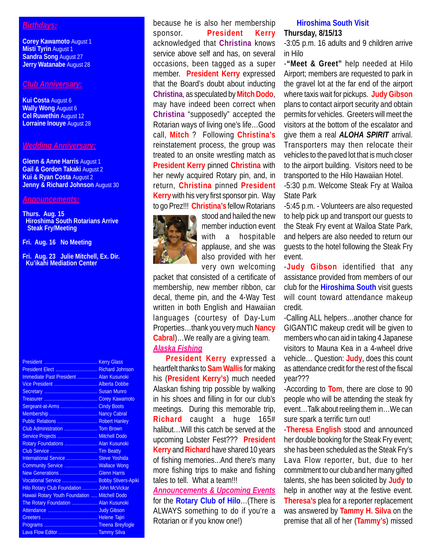#### *Birthdays:*

**Corey Kawamoto** August 1 **Misti Tyrin** August 1 **Sandra Song** August 27 **Jerry Watanabe** August 28

### *Club Anniversary:*

**Kui Costa** August 6 **Wally Wong** August 6 **Cel Ruwethin** August 12 **Lorraine Inouye** August 28

#### *Wedding Anniversary:*

**Glenn & Anne Harris** August 1 **Gail & Gordon Takaki** August 2 **Kui & Ryan Costa** August 2 **Jenny & Richard Johnson August 30** 

#### *Announcements:*

**Thurs. Aug. 15 Hiroshima South Rotarians Arrive Steak Fry/Meeting**

**Fri. Aug. 16 No Meeting**

**Fri. Aug. 23 Julie Mitchell, Ex. Dir. Ku'ikahi Mediation Center**

| President Elect  Richard Johnson              |  |
|-----------------------------------------------|--|
| Immediate Past President  Alan Kusunoki       |  |
| Vice President  Alberta Dobbe                 |  |
|                                               |  |
|                                               |  |
| Sergeant-at-Arms  Cindy Boots                 |  |
|                                               |  |
| Public Relations  Robert Hanley               |  |
| Club Administration  Tom Brown                |  |
| Service Projects  Mitchell Dodo               |  |
| Rotary Foundations  Alan Kusunoki             |  |
|                                               |  |
| International Service  Steve Yoshida          |  |
| Community Service  Wallace Wong               |  |
| New Generations  Glenn Harris                 |  |
| Vocational Service  Bobby Stivers-Apiki       |  |
| Hilo Rotary Club Foundation  John McVickar    |  |
| Hawaii Rotary Youth Foundation  Mitchell Dodo |  |
| The Rotary Foundation  Alan Kusunoki          |  |
|                                               |  |
|                                               |  |
|                                               |  |
| Lava Flow Editor  Tammy Silva                 |  |

because he is also her membership sponsor. **President Kerry** acknowledged that **Christina** knows service above self and has, on several occasions, been tagged as a super member. **President Kerry** expressed that the Board's doubt about inducting **Christina**, as speculated by **Mitch Dodo**, may have indeed been correct when **Christina** "supposedly" accepted the Rotarian ways of living one's life…Good call, **Mitch** ? Following **Christina's** reinstatement process, the group was treated to an onsite wrestling match as **President Kerry** pinned **Christina** with her newly acquired Rotary pin, and, in return, **Christina** pinned **President Kerry** with his very first sponsor pin. Way to go Prez!!! **Christina's** fellow Rotarians



stood and hailed the new member induction event with a hospitable applause, and she was also provided with her very own welcoming

packet that consisted of a certificate of membership, new member ribbon, car decal, theme pin, and the 4-Way Test written in both English and Hawaiian languages (courtesy of Day-Lum Properties…thank you very much **Nancy Cabral**)…We really are a giving team. *Alaska Fishing*

**President Kerry** expressed a heartfelt thanks to **Sam Wallis** for making his (**President Kerry's**) much needed Alaskan fishing trip possible by walking in his shoes and filling in for our club's meetings. During this memorable trip, **Richard** caught a huge 165# halibut…Will this catch be served at the upcoming Lobster Fest??? **President Kerry** and **Richard** have shared 10 years of fishing memories...And there's many more fishing trips to make and fishing tales to tell. What a team!!!

*Announcements & Upcoming Events* for the **Rotary Club of Hilo**…(There is ALWAYS something to do if you're a Rotarian or if you know one!)

# **Hiroshima South Visit**

#### **Thursday, 8/15/13**

-3:05 p.m. 16 adults and 9 children arrive in Hilo

-**"Meet & Greet"** help needed at Hilo Airport; members are requested to park in the gravel lot at the far end of the airport where taxis wait for pickups. **Judy Gibson** plans to contact airport security and obtain permits for vehicles. Greeters will meet the visitors at the bottom of the escalator and give them a real *ALOHA SPIRIT* arrival. Transporters may then relocate their vehicles to the paved lot that is much closer to the airport building. Visitors need to be transported to the Hilo Hawaiian Hotel.

-5:30 p.m. Welcome Steak Fry at Wailoa State Park

-5:45 p.m. - Volunteers are also requested to help pick up and transport our guests to the Steak Fry event at Wailoa State Park, and helpers are also needed to return our guests to the hotel following the Steak Fry event.

-**Judy Gibson** identified that any assistance provided from members of our club for the **Hiroshima South** visit guests will count toward attendance makeup credit.

-Calling ALL helpers…another chance for GIGANTIC makeup credit will be given to members who can aid in taking 4 Japanese visitors to Mauna Kea in a 4-wheel drive vehicle… Question: **Judy**, does this count as attendance credit for the rest of the fiscal year???

-According to **Tom**, there are close to 90 people who will be attending the steak fry event…Talk about reeling them in…We can sure spark a terrific turn out!

-**Theresa English** stood and announced her double booking for the Steak Fry event; she has been scheduled as the Steak Fry's Lava Flow reporter, but, due to her commitment to our club and her many gifted talents, she has been solicited by **Judy** to help in another way at the festive event. **Theresa's** plea for a reporter replacement was answered by **Tammy H. Silva** on the premise that all of her (**Tammy's**) missed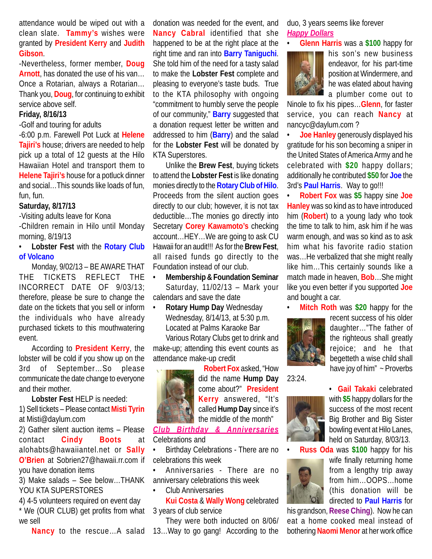attendance would be wiped out with a clean slate. **Tammy's** wishes were granted by **President Kerry** and **Judith Gibson**.

-Nevertheless, former member, **Doug Arnott**, has donated the use of his van… Once a Rotarian, always a Rotarian… Thank you, **Doug**, for continuing to exhibit service above self.

## **Friday, 8/16/13**

-Golf and touring for adults

-6:00 p.m. Farewell Pot Luck at **Helene Tajiri's** house; drivers are needed to help pick up a total of 12 guests at the Hilo Hawaiian Hotel and transport them to **Helene Tajiri's** house for a potluck dinner and social…This sounds like loads of fun, fun, fun.

### **Saturday, 8/17/13**

-Visiting adults leave for Kona

-Children remain in Hilo until Monday morning, 8/19/13

• **Lobster Fest** with the **Rotary Club of Volcano**

Monday, 9/02/13 – BE AWARE THAT THE TICKETS REFLECT THE INCORRECT DATE OF 9/03/13; therefore, please be sure to change the date on the tickets that you sell or inform the individuals who have already purchased tickets to this mouthwatering event.

According to **President Kerry**, the lobster will be cold if you show up on the 3rd of September…So please communicate the date change to everyone and their mother.

**Lobster Fest** HELP is needed: 1) Sell tickets – Please contact **Misti Tyrin** at Misti@daylum.com

2) Gather silent auction items – Please contact **Cindy Boots** at alohabts@hawaiiantel.net or **Sally O'Brien** at Sobrien27@hawaii.rr.com if you have donation items

3) Make salads – See below…THANK YOU KTA SUPERSTORES

4) 4-5 volunteers required on event day \* We (OUR CLUB) get profits from what we sell

**Nancy** to the rescue…A salad

donation was needed for the event, and **Nancy Cabral** identified that she happened to be at the right place at the right time and ran into **Barry Taniguchi**. She told him of the need for a tasty salad to make the **Lobster Fest** complete and pleasing to everyone's taste buds. True to the KTA philosophy with ongoing "commitment to humbly serve the people of our community," **Barry** suggested that a donation request letter be written and addressed to him (**Barry**) and the salad for the **Lobster Fest** will be donated by KTA Superstores.

Unlike the **Brew Fest**, buying tickets to attend the **Lobster Fest** is like donating monies directly to the **Rotary Club of Hilo**. Proceeds from the silent auction goes directly to our club; however, it is not tax deductible…The monies go directly into Secretary **Corey Kawamoto's** checking account…HEY…We are going to ask CU Hawaii for an audit!!! As for the **Brew Fest**, all raised funds go directly to the Foundation instead of our club.

• **Membership & Foundation Seminar** Saturday, 11/02/13 – Mark your calendars and save the date

• **Rotary Hump Day** Wednesday Wednesday, 8/14/13, at 5:30 p.m. Located at Palms Karaoke Bar

Various Rotary Clubs get to drink and make-up; attending this event counts as attendance make-up credit



**Robert Fox** asked, "How did the name **Hump Day** come about?" **President Kerry** answered, "It's called **Hump Day** since it's the middle of the month"

*Club Birthday & Anniversaries* Celebrations and

• Birthday Celebrations - There are no celebrations this week

• Anniversaries - There are no anniversary celebrations this week

• Club Anniversaries

**Kui Costa** & **Wally Wong** celebrated 3 years of club service

They were both inducted on 8/06/ 13…Way to go gang! According to the

duo, 3 years seems like forever *Happy Dollars*



his son's new business endeavor, for his part-time position at Windermere, and he was elated about having a plumber come out to

Ninole to fix his pipes…**Glenn**, for faster service, you can reach **Nancy** at nancyc@daylum.com ?

• **Joe Hanley** generously displayed his gratitude for his son becoming a sniper in the United States of America Army and he celebrated with **\$20** happy dollars; additionally he contributed **\$50** for **Joe** the 3rd's **Paul Harris**. Way to go!!!

• **Robert Fox** was **\$5** happy sine **Joe Hanley** was so kind as to have introduced him (**Robert**) to a young lady who took the time to talk to him, ask him if he was warm enough, and was so kind as to ask him what his favorite radio station was…He verbalized that she might really like him…This certainly sounds like a match made in heaven, **Bob**…She might like you even better if you supported **Joe** and bought a car.

• **Mitch Roth** was **\$20** happy for the



recent success of his older daughter…"The father of the righteous shall greatly rejoice; and he that begetteth a wise child shall have joy of him" ~ Proverbs

23:24.



• **Gail Takaki** celebrated with **\$5** happy dollars for the success of the most recent Big Brother and Big Sister bowling event at Hilo Lanes, held on Saturday, 8/03/13.

• **Russ Oda** was **\$100** happy for his



wife finally returning home from a lengthy trip away from him…OOPS…home (this donation will be directed to **Paul Harris** for

his grandson, **Reese Ching**). Now he can eat a home cooked meal instead of bothering **Naomi Menor** at her work office